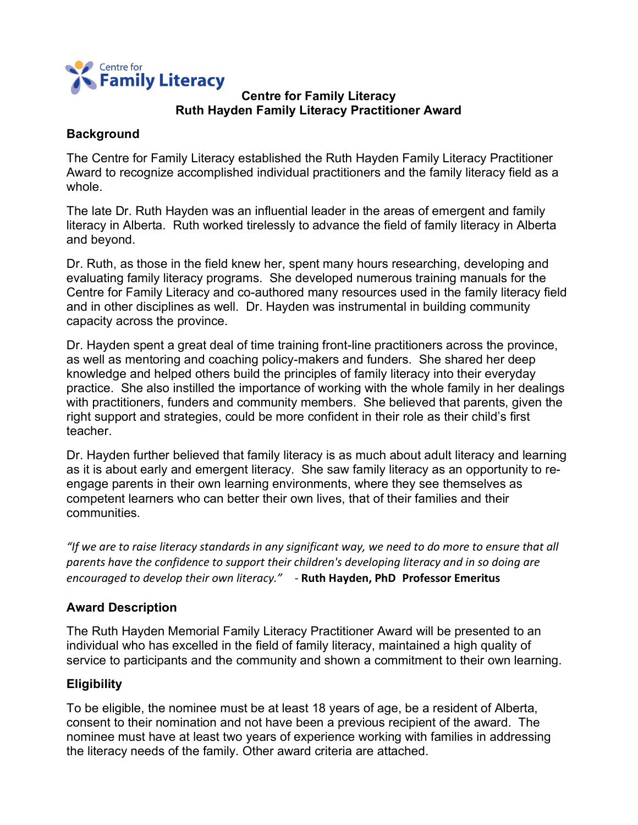

## **Centre for Family Literacy Ruth Hayden Family Literacy Practitioner Award**

## **Background**

The Centre for Family Literacy established the Ruth Hayden Family Literacy Practitioner Award to recognize accomplished individual practitioners and the family literacy field as a whole.

The late Dr. Ruth Hayden was an influential leader in the areas of emergent and family literacy in Alberta. Ruth worked tirelessly to advance the field of family literacy in Alberta and beyond.

Dr. Ruth, as those in the field knew her, spent many hours researching, developing and evaluating family literacy programs. She developed numerous training manuals for the Centre for Family Literacy and co-authored many resources used in the family literacy field and in other disciplines as well. Dr. Hayden was instrumental in building community capacity across the province.

Dr. Hayden spent a great deal of time training front-line practitioners across the province, as well as mentoring and coaching policy-makers and funders. She shared her deep knowledge and helped others build the principles of family literacy into their everyday practice. She also instilled the importance of working with the whole family in her dealings with practitioners, funders and community members. She believed that parents, given the right support and strategies, could be more confident in their role as their child's first teacher.

Dr. Hayden further believed that family literacy is as much about adult literacy and learning as it is about early and emergent literacy. She saw family literacy as an opportunity to reengage parents in their own learning environments, where they see themselves as competent learners who can better their own lives, that of their families and their communities.

*"If we are to raise literacy standards in any significant way, we need to do more to ensure that all parents have the confidence to support their children's developing literacy and in so doing are encouraged to develop their own literacy."* - **Ruth Hayden, PhD Professor Emeritus**

# **Award Description**

The Ruth Hayden Memorial Family Literacy Practitioner Award will be presented to an individual who has excelled in the field of family literacy, maintained a high quality of service to participants and the community and shown a commitment to their own learning.

# **Eligibility**

To be eligible, the nominee must be at least 18 years of age, be a resident of Alberta, consent to their nomination and not have been a previous recipient of the award. The nominee must have at least two years of experience working with families in addressing the literacy needs of the family. Other award criteria are attached.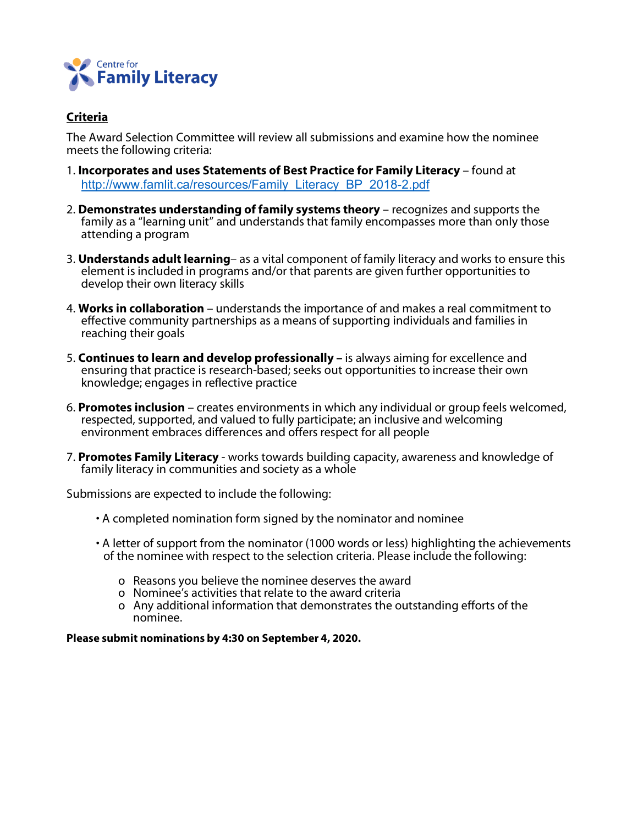

## **Criteria**

The Award Selection Committee will review all submissions and examine how the nominee meets the following criteria:

- 1. **Incorporates and uses Statements of Best Practice for Family Literacy** found at http://www.famlit.ca/resources/Family\_Literacy\_BP\_2018-2.pdf
- 2. **Demonstrates understanding of family systems theory** recognizes and supports the family as a "learning unit" and understands that family encompasses more than only those attending a program
- 3. **Understands adult learning** as a vital component of family literacy and works to ensure this element is included in programs and/or that parents are given further opportunities to develop their own literacy skills
- 4. **Works in collaboration** understands the importance of and makes a real commitment to effective community partnerships as a means of supporting individuals and families in reaching their goals
- 5. **Continues to learn and develop professionally –** is always aiming for excellence and ensuring that practice is research-based; seeks out opportunities to increase their own knowledge; engages in reflective practice
- 6. **Promotes inclusion** creates environments in which any individual or group feels welcomed, respected, supported, and valued to fully participate; an inclusive and welcoming environment embraces differences and offers respect for all people
- 7. **Promotes Family Literacy** works towards building capacity, awareness and knowledge of family literacy in communities and society as a whole

Submissions are expected to include the following:

- A completed nomination form signed by the nominator and nominee
- A letter of support from the nominator (1000 words or less) highlighting the achievements of the nominee with respect to the selection criteria. Please include the following:
	- o Reasons you believe the nominee deserves the award
	- o Nominee's activities that relate to the award criteria
	- o Any additional information that demonstrates the outstanding efforts of the nominee.

#### **Please submit nominations by 4:30 on September 4, 2020.**